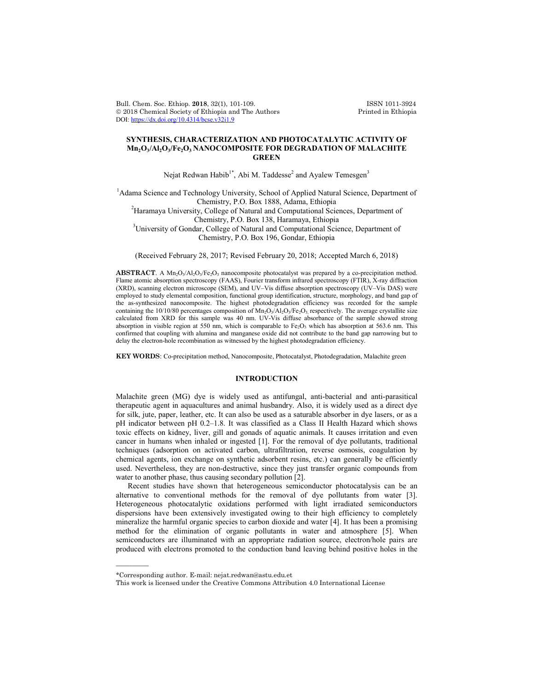Bull. Chem. Soc. Ethiop. 2018, 32(1), 101-109.<br>
© 2018 Chemical Society of Ethiopia and The Authors Printed in Ethiopia  $© 2018 Chemical Society of Ethiopia and The Authors$ DOI: https://dx.doi.org/10.4314/bcse.v32i1.9

# **SYNTHESIS, CHARACTERIZATION AND PHOTOCATALYTIC ACTIVITY OF Mn2O3/Al2O3/Fe2O3 NANOCOMPOSITE FOR DEGRADATION OF MALACHITE GREEN**

Nejat Redwan Habib<sup>1\*</sup>, Abi M. Taddesse<sup>2</sup> and Ayalew Temesgen<sup>3</sup>

<sup>1</sup>Adama Science and Technology University, School of Applied Natural Science, Department of Chemistry, P.O. Box 1888, Adama, Ethiopia <sup>2</sup> Haramaya University, College of Natural and Computational Sciences, Department of Chemistry, P.O. Box 138, Haramaya, Ethiopia <sup>3</sup>  $3$ University of Gondar, College of Natural and Computational Science, Department of Chemistry, P.O. Box 196, Gondar, Ethiopia

(Received February 28, 2017; Revised February 20, 2018; Accepted March 6, 2018)

ABSTRACT. A Mn<sub>2</sub>O<sub>3</sub>/Al<sub>2</sub>O<sub>3</sub>/Fe<sub>2</sub>O<sub>3</sub> nanocomposite photocatalyst was prepared by a co-precipitation method. Flame atomic absorption spectroscopy (FAAS), Fourier transform infrared spectroscopy (FTIR), X-ray diffraction (XRD), scanning electron microscope (SEM), and UV–Vis diffuse absorption spectroscopy (UV–Vis DAS) were employed to study elemental composition, functional group identification, structure, morphology, and band gap of the as-synthesized nanocomposite. The highest photodegradation efficiency was recorded for the sample containing the 10/10/80 percentages composition of  $Mn_2O_3/Al_2O_3/Fe_2O_3$  respectively. The average crystallite size calculated from XRD for this sample was 40 nm. UV-Vis diffuse absorbance of the sample showed strong absorption in visible region at 550 nm, which is comparable to  $Fe<sub>2</sub>O<sub>3</sub>$  which has absorption at 563.6 nm. This confirmed that coupling with alumina and manganese oxide did not contribute to the band gap narrowing but to delay the electron-hole recombination as witnessed by the highest photodegradation efficiency.

**KEY WORDS**: Co-precipitation method, Nanocomposite, Photocatalyst, Photodegradation, Malachite green

# **INTRODUCTION**

Malachite green (MG) dye is widely used as antifungal, anti-bacterial and anti-parasitical therapeutic agent in aquacultures and animal husbandry. Also, it is widely used as a direct dye for silk, jute, paper, leather, etc. It can also be used as a saturable absorber in dye lasers, or as a pH indicator between pH 0.2–1.8. It was classified as a Class II Health Hazard which shows toxic effects on kidney, liver, gill and gonads of aquatic animals. It causes irritation and even cancer in humans when inhaled or ingested [1]. For the removal of dye pollutants, traditional techniques (adsorption on activated carbon, ultrafiltration, reverse osmosis, coagulation by chemical agents, ion exchange on synthetic adsorbent resins, etc.) can generally be efficiently used. Nevertheless, they are non-destructive, since they just transfer organic compounds from water to another phase, thus causing secondary pollution [2].

Recent studies have shown that heterogeneous semiconductor photocatalysis can be an alternative to conventional methods for the removal of dye pollutants from water [3]. Heterogeneous photocatalytic oxidations performed with light irradiated semiconductors dispersions have been extensively investigated owing to their high efficiency to completely mineralize the harmful organic species to carbon dioxide and water [4]. It has been a promising method for the elimination of organic pollutants in water and atmosphere [5]. When semiconductors are illuminated with an appropriate radiation source, electron/hole pairs are produced with electrons promoted to the conduction band leaving behind positive holes in the

 $\overline{\phantom{a}}$ 

<sup>\*</sup>Corresponding author. E-mail: nejat.redwan@astu.edu.et

This work is licensed under the Creative Commons Attribution 4.0 International License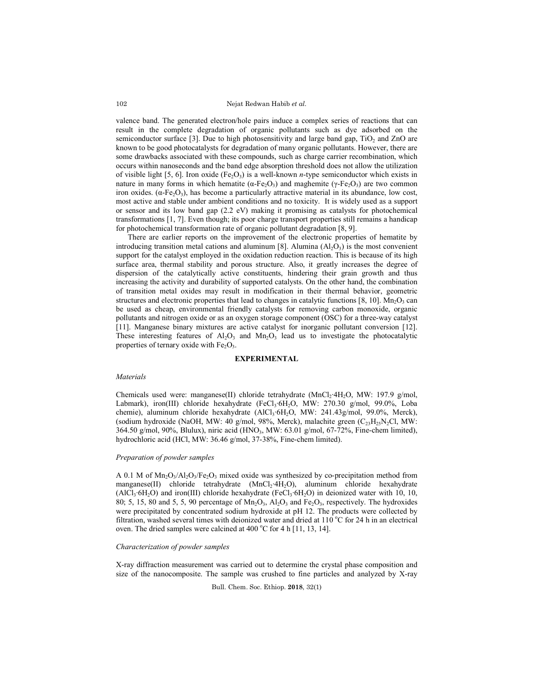Nejat Redwan Habib *et al.*

valence band. The generated electron/hole pairs induce a complex series of reactions that can result in the complete degradation of organic pollutants such as dye adsorbed on the semiconductor surface [3]. Due to high photosensitivity and large band gap,  $TiO<sub>2</sub>$  and ZnO are known to be good photocatalysts for degradation of many organic pollutants. However, there are some drawbacks associated with these compounds, such as charge carrier recombination, which occurs within nanoseconds and the band edge absorption threshold does not allow the utilization of visible light [5, 6]. Iron oxide  $(Fe<sub>2</sub>O<sub>3</sub>)$  is a well-known *n*-type semiconductor which exists in nature in many forms in which hematite ( $\alpha$ -Fe<sub>2</sub>O<sub>3</sub>) and maghemite ( $\gamma$ -Fe<sub>2</sub>O<sub>3</sub>) are two common iron oxides.  $(\alpha$ -Fe<sub>2</sub>O<sub>3</sub>), has become a particularly attractive material in its abundance, low cost, most active and stable under ambient conditions and no toxicity. It is widely used as a support or sensor and its low band gap (2.2 eV) making it promising as catalysts for photochemical transformations [1, 7]. Even though; its poor charge transport properties still remains a handicap for photochemical transformation rate of organic pollutant degradation [8, 9].

There are earlier reports on the improvement of the electronic properties of hematite by introducing transition metal cations and aluminum [8]. Alumina  $(A<sub>1</sub>, O<sub>3</sub>)$  is the most convenient support for the catalyst employed in the oxidation reduction reaction. This is because of its high surface area, thermal stability and porous structure. Also, it greatly increases the degree of dispersion of the catalytically active constituents, hindering their grain growth and thus increasing the activity and durability of supported catalysts. On the other hand, the combination of transition metal oxides may result in modification in their thermal behavior, geometric structures and electronic properties that lead to changes in catalytic functions [8, 10]. Mn<sub>2</sub>O<sub>3</sub> can be used as cheap, environmental friendly catalysts for removing carbon monoxide, organic pollutants and nitrogen oxide or as an oxygen storage component (OSC) for a three-way catalyst [11]. Manganese binary mixtures are active catalyst for inorganic pollutant conversion [12]. These interesting features of  $Al_2O_3$  and  $Mn_2O_3$  lead us to investigate the photocatalytic properties of ternary oxide with  $Fe<sub>2</sub>O<sub>3</sub>$ .

#### **EXPERIMENTAL**

#### *Materials*

Chemicals used were: manganese(II) chloride tetrahydrate (MnCl2∙4H2O, MW: 197.9 g/mol, Labmark), iron(III) chloride hexahydrate (FeCl3∙6H<sub>2</sub>O, MW: 270.30 g/mol, 99.0%, Loba chemie), aluminum chloride hexahydrate (AlCl<sub>3</sub>∙6H<sub>2</sub>O, MW: 241.43g/mol, 99.0%, Merck), (sodium hydroxide (NaOH, MW: 40 g/mol, 98%, Merck), malachite green  $(C_{23}H_{25}N_{2}Cl$ , MW: 364.50 g/mol, 90%, Blulux), niric acid (HNO<sub>3</sub>, MW: 63.01 g/mol, 67-72%, Fine-chem limited), hydrochloric acid (HCl, MW: 36.46 g/mol, 37-38%, Fine-chem limited).

### *Preparation of powder samples*

A 0.1 M of  $Mn_2O_3/Al_2O_3/Fe_2O_3$  mixed oxide was synthesized by co-precipitation method from manganese(II) chloride tetrahydrate (MnCl, 4H<sub>2</sub>O), aluminum chloride hexahydrate (AlCl<sub>3</sub>⋅6H<sub>2</sub>O) and iron(III) chloride hexahydrate (FeCl<sub>3</sub>⋅6H<sub>2</sub>O) in deionized water with 10, 10, 80; 5, 15, 80 and 5, 5, 90 percentage of  $Mn_2O_3$ ,  $Al_2O_3$  and Fe<sub>2</sub>O<sub>3</sub>, respectively. The hydroxides were precipitated by concentrated sodium hydroxide at pH 12. The products were collected by filtration, washed several times with deionized water and dried at  $110^{\circ}$ C for 24 h in an electrical oven. The dried samples were calcined at  $400^{\circ}$ C for 4 h [11, 13, 14].

### *Characterization of powder samples*

X-ray diffraction measurement was carried out to determine the crystal phase composition and size of the nanocomposite. The sample was crushed to fine particles and analyzed by X-ray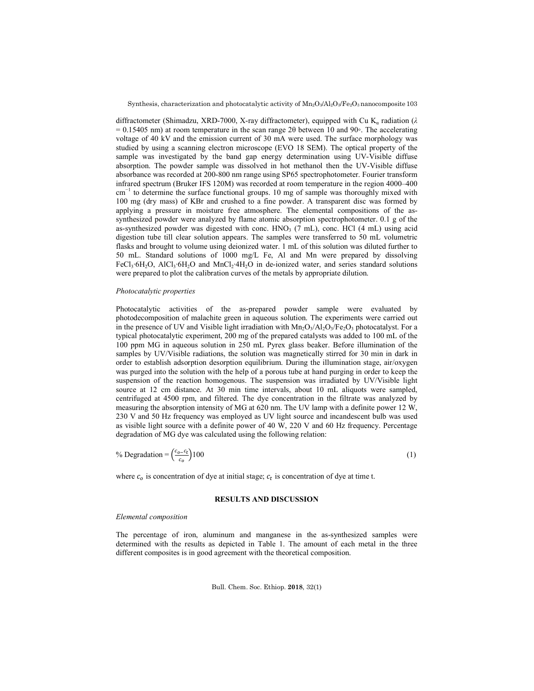diffractometer (Shimadzu, XRD-7000, X-ray diffractometer), equipped with Cu Kα radiation (*λ*  = 0.15405 nm) at room temperature in the scan range 2θ between 10 and 90◦. The accelerating voltage of 40 kV and the emission current of 30 mA were used. The surface morphology was studied by using a scanning electron microscope (EVO 18 SEM). The optical property of the sample was investigated by the band gap energy determination using UV-Visible diffuse absorption. The powder sample was dissolved in hot methanol then the UV-Visible diffuse absorbance was recorded at 200-800 nm range using SP65 spectrophotometer. Fourier transform infrared spectrum (Bruker IFS 120M) was recorded at room temperature in the region 4000–400 cm−1 to determine the surface functional groups. 10 mg of sample was thoroughly mixed with 100 mg (dry mass) of KBr and crushed to a fine powder. A transparent disc was formed by applying a pressure in moisture free atmosphere. The elemental compositions of the assynthesized powder were analyzed by flame atomic absorption spectrophotometer. 0.1 g of the as-synthesized powder was digested with conc. HNO<sub>3</sub> (7 mL), conc. HCl (4 mL) using acid digestion tube till clear solution appears. The samples were transferred to 50 mL volumetric flasks and brought to volume using deionized water. 1 mL of this solution was diluted further to 50 mL. Standard solutions of 1000 mg/L Fe, Al and Mn were prepared by dissolving FeCl3∙6H2O, AlCl3∙6H2O and MnCl2∙4H2O in de-ionized water, and series standard solutions were prepared to plot the calibration curves of the metals by appropriate dilution.

## *Photocatalytic properties*

Photocatalytic activities of the as-prepared powder sample were evaluated by photodecomposition of malachite green in aqueous solution. The experiments were carried out in the presence of UV and Visible light irradiation with  $Mn_2O_3/Al_2O_3/Fe_2O_3$  photocatalyst. For a typical photocatalytic experiment, 200 mg of the prepared catalysts was added to 100 mL of the 100 ppm MG in aqueous solution in 250 mL Pyrex glass beaker. Before illumination of the samples by UV/Visible radiations, the solution was magnetically stirred for 30 min in dark in order to establish adsorption desorption equilibrium. During the illumination stage, air/oxygen was purged into the solution with the help of a porous tube at hand purging in order to keep the suspension of the reaction homogenous. The suspension was irradiated by UV/Visible light source at 12 cm distance. At 30 min time intervals, about 10 mL aliquots were sampled, centrifuged at 4500 rpm, and filtered. The dye concentration in the filtrate was analyzed by measuring the absorption intensity of MG at 620 nm. The UV lamp with a definite power 12 W, 230 V and 50 Hz frequency was employed as UV light source and incandescent bulb was used as visible light source with a definite power of 40 W, 220 V and 60 Hz frequency. Percentage degradation of MG dye was calculated using the following relation:

% Degradation =  $\left(\frac{c_{o}-c_{t}}{c_{o}-c_{t}}\right)$  $c_o$  $100$  (1)

where  $c<sub>o</sub>$  is concentration of dye at initial stage;  $c<sub>t</sub>$  is concentration of dye at time t.

## **RESULTS AND DISCUSSION**

#### *Elemental composition*

The percentage of iron, aluminum and manganese in the as-synthesized samples were determined with the results as depicted in Table 1. The amount of each metal in the three different composites is in good agreement with the theoretical composition.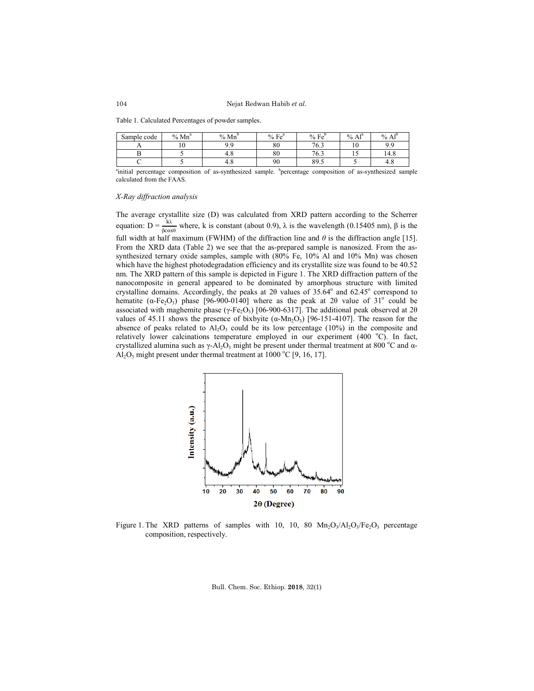Nejat Redwan Habib *et al.*

Table 1. Calculated Percentages of powder samples.

| Sample code | $Mn^a$<br>$\frac{0}{0}$ | $\frac{0}{0}$<br>Mn | %Fe <sup>a</sup> | %Fe <sup>b</sup> | $\Lambda$ 1 <sup>a</sup><br>$\%$<br>Al | $\frac{0}{0}$<br>⊾ 1 ք<br>Al |
|-------------|-------------------------|---------------------|------------------|------------------|----------------------------------------|------------------------------|
|             | $\sim$<br>ΙV            | ۵۵<br>u             | 80               | 76.5             | - 11                                   | $\Omega$                     |
|             |                         | 4.0                 | 80               | 76.3             | . J                                    | $\sqrt{4}$<br>14.8           |
|             |                         | 4.0                 | 90               | 89.5             |                                        | 4.6                          |

<sup>a</sup>initial percentage composition of as-synthesized sample. <sup>b</sup>percentage composition of as-synthesized sample calculated from the FAAS.

#### *X-Ray diffraction analysis*

The average crystallite size (D) was calculated from XRD pattern according to the Scherrer equation:  $D = \frac{k\lambda}{\beta \cos\theta}$  where, k is constant (about 0.9),  $\lambda$  is the wavelength (0.15405 nm),  $\beta$  is the full width at half maximum (FWHM) of the diffraction line and  $\theta$  is the diffraction angle [15]. From the XRD data (Table 2) we see that the as-prepared sample is nanosized. From the assynthesized ternary oxide samples, sample with (80% Fe, 10% Al and 10% Mn) was chosen which have the highest photodegradation efficiency and its crystallite size was found to be 40.52 nm. The XRD pattern of this sample is depicted in Figure 1. The XRD diffraction pattern of the nanocomposite in general appeared to be dominated by amorphous structure with limited crystalline domains. Accordingly, the peaks at 20 values of  $35.64^{\circ}$  and  $62.45^{\circ}$  correspond to hematite ( $\alpha$ -Fe<sub>2</sub>O<sub>3</sub>) phase [96-900-0140] where as the peak at 2 $\theta$  value of 31<sup>o</sup> could be associated with maghemite phase (γ-Fe<sub>2</sub>O<sub>3</sub>) [06-900-6317]. The additional peak observed at 2θ values of 45.11 shows the presence of bixbyite  $(α-Mn<sub>2</sub>O<sub>3</sub>)$  [96-151-4107]. The reason for the absence of peaks related to  $Al_2O_3$  could be its low percentage (10%) in the composite and relatively lower calcinations temperature employed in our experiment (400 °C). In fact, crystallized alumina such as  $\gamma$ -Al<sub>2</sub>O<sub>3</sub> might be present under thermal treatment at 800 °C and  $\alpha$ - $Al_2O_3$  might present under thermal treatment at 1000 °C [9, 16, 17].



Figure 1. The XRD patterns of samples with 10, 10, 80  $Mn_2O_3/Al_2O_3/Fe_2O_3$  percentage composition, respectively.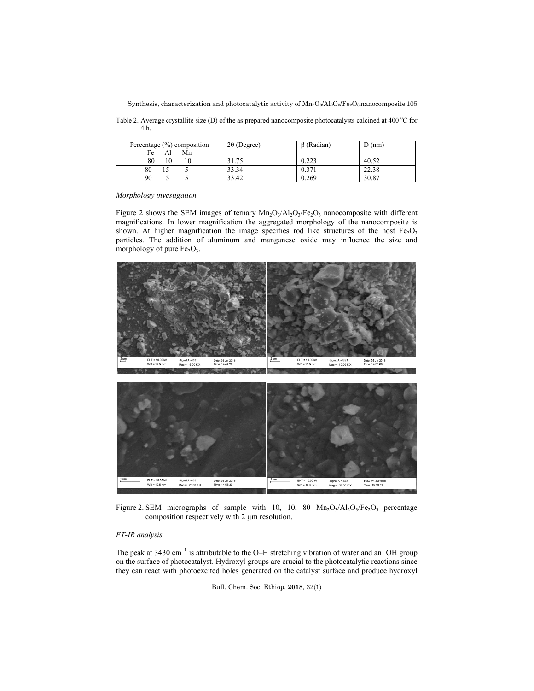Table 2. Average crystallite size (D) of the as prepared nanocomposite photocatalysts calcined at 400 °C for 4 h.

| Percentage $(\%)$ composition<br>Fe<br>Mn | $2\theta$ (Degree) | $\beta$ (Radian) | $D$ (nm) |
|-------------------------------------------|--------------------|------------------|----------|
| 80<br>10                                  | 31.75              | 0.223            | 40.52    |
| 80                                        | 33.34              | 0.371            | 22.38    |
| 90                                        | 33.42              | 0.269            | 30.87    |

*Morphology investigation*

Figure 2 shows the SEM images of ternary  $Mn_2O_3/Al_2O_3/Fe_2O_3$  nanocomposite with different magnifications. In lower magnification the aggregated morphology of the nanocomposite is shown. At higher magnification the image specifies rod like structures of the host  $Fe<sub>2</sub>O<sub>3</sub>$ particles. The addition of aluminum and manganese oxide may influence the size and morphology of pure  $Fe<sub>2</sub>O<sub>3</sub>$ .



Figure 2. SEM micrographs of sample with 10, 10, 80  $Mn_2O_3/Al_2O_3/Fe_2O_3$  percentage composition respectively with 2 µm resolution.

# *FT-IR analysis*

The peak at 3430  $cm^{-1}$  is attributable to the O–H stretching vibration of water and an  $\overline{O}$ H group on the surface of photocatalyst. Hydroxyl groups are crucial to the photocatalytic reactions since they can react with photoexcited holes generated on the catalyst surface and produce hydroxyl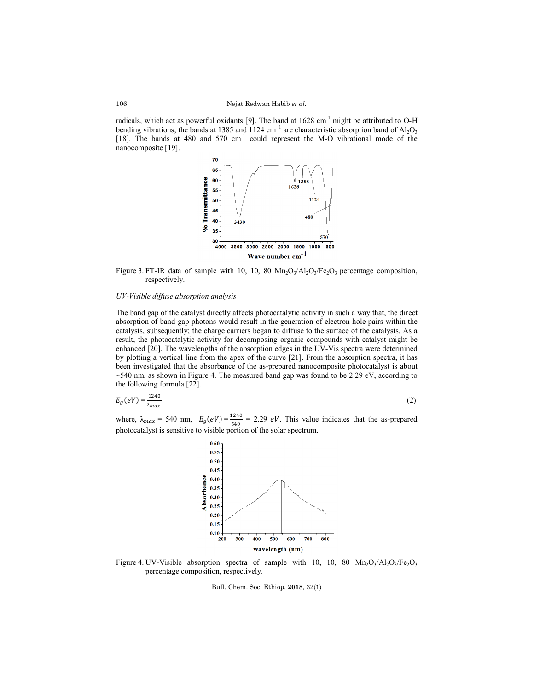radicals, which act as powerful oxidants [9]. The band at  $1628 \text{ cm}^{-1}$  might be attributed to O-H bending vibrations; the bands at 1385 and 1124 cm<sup>-1</sup> are characteristic absorption band of Al<sub>2</sub>O<sub>3</sub> [18]. The bands at 480 and 570 cm<sup>-1</sup> could represent the M-O vibrational mode of the nanocomposite [19].



Figure 3. FT-IR data of sample with 10, 10, 80  $Mn_2O_3/Al_2O_3/Fe_2O_3$  percentage composition, respectively.

### *UV-Visible diffuse absorption analysis*

The band gap of the catalyst directly affects photocatalytic activity in such a way that, the direct absorption of band-gap photons would result in the generation of electron-hole pairs within the catalysts, subsequently; the charge carriers began to diffuse to the surface of the catalysts. As a result, the photocatalytic activity for decomposing organic compounds with catalyst might be enhanced [20]. The wavelengths of the absorption edges in the UV-Vis spectra were determined by plotting a vertical line from the apex of the curve [21]. From the absorption spectra, it has been investigated that the absorbance of the as-prepared nanocomposite photocatalyst is about  $\sim$ 540 nm, as shown in Figure 4. The measured band gap was found to be 2.29 eV, according to the following formula [22].

$$
E_g(eV) = \frac{1240}{\lambda_{max}}\tag{2}
$$

where,  $\lambda_{max} = 540$  nm,  $E_g(eV) = \frac{1240}{540} = 2.29$  eV. This value indicates that the as-prepared photocatalyst is sensitive to visible portion of the solar spectrum.



Figure 4. UV-Visible absorption spectra of sample with 10, 10, 80  $Mn_2O_3/Al_2O_3/Fe_2O_3$ percentage composition, respectively.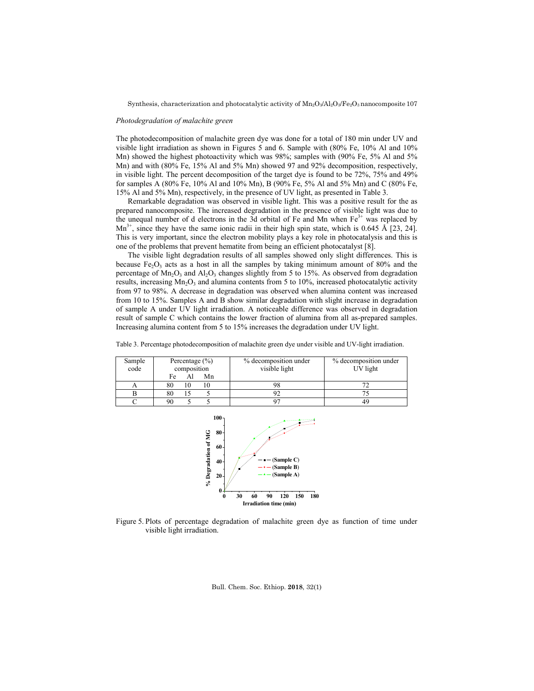#### *Photodegradation of malachite green*

The photodecomposition of malachite green dye was done for a total of 180 min under UV and visible light irradiation as shown in Figures 5 and 6. Sample with (80% Fe, 10% Al and 10% Mn) showed the highest photoactivity which was 98%; samples with (90% Fe, 5% Al and 5% Mn) and with (80% Fe, 15% Al and 5% Mn) showed 97 and 92% decomposition, respectively, in visible light. The percent decomposition of the target dye is found to be 72%, 75% and 49% for samples A (80% Fe, 10% Al and 10% Mn), B (90% Fe, 5% Al and 5% Mn) and C (80% Fe, 15% Al and 5% Mn), respectively, in the presence of UV light, as presented in Table 3.

Remarkable degradation was observed in visible light. This was a positive result for the as prepared nanocomposite. The increased degradation in the presence of visible light was due to the unequal number of d electrons in the 3d orbital of Fe and Mn when  $Fe<sup>3+</sup>$  was replaced by  $Mn^{3+}$ , since they have the same ionic radii in their high spin state, which is 0.645 Å [23, 24]. This is very important, since the electron mobility plays a key role in photocatalysis and this is one of the problems that prevent hematite from being an efficient photocatalyst [8].

The visible light degradation results of all samples showed only slight differences. This is because Fe<sub>2</sub>O<sub>3</sub> acts as a host in all the samples by taking minimum amount of 80% and the percentage of  $Mn_2O_3$  and  $Al_2O_3$  changes slightly from 5 to 15%. As observed from degradation results, increasing  $Mn_2O_3$  and alumina contents from 5 to 10%, increased photocatalytic activity from 97 to 98%. A decrease in degradation was observed when alumina content was increased from 10 to 15%. Samples A and B show similar degradation with slight increase in degradation of sample A under UV light irradiation. A noticeable difference was observed in degradation result of sample C which contains the lower fraction of alumina from all as-prepared samples. Increasing alumina content from 5 to 15% increases the degradation under UV light.

| Sample | Percentage $(\% )$ | % decomposition under | % decomposition under |
|--------|--------------------|-----------------------|-----------------------|
| code   | composition        | visible light         | UV light              |
|        | Fe<br>Mn           |                       |                       |
|        | 80                 |                       |                       |
|        | 80                 |                       |                       |

C 90 5 5 97 97 49

Table 3. Percentage photodecomposition of malachite green dye under visible and UV-light irradiation.



Figure 5. Plots of percentage degradation of malachite green dye as function of time under visible light irradiation.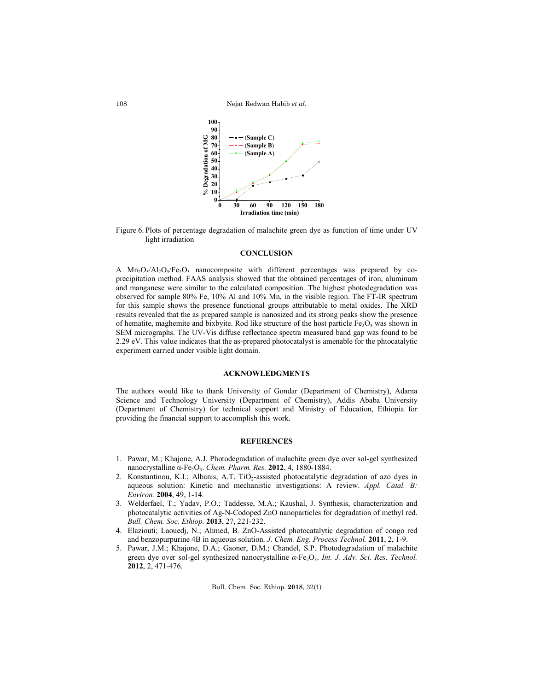Nejat Redwan Habib *et al.*





## **CONCLUSION**

A  $Mn_2O_3/Al_2O_3/Fe_2O_3$  nanocomposite with different percentages was prepared by coprecipitation method. FAAS analysis showed that the obtained percentages of iron, aluminum and manganese were similar to the calculated composition. The highest photodegradation was observed for sample 80% Fe, 10% Al and 10% Mn, in the visible region. The FT-IR spectrum for this sample shows the presence functional groups attributable to metal oxides. The XRD results revealed that the as prepared sample is nanosized and its strong peaks show the presence of hematite, maghemite and bixbyite. Rod like structure of the host particle  $Fe<sub>2</sub>O<sub>3</sub>$  was shown in SEM micrographs. The UV-Vis diffuse reflectance spectra measured band gap was found to be 2.29 eV. This value indicates that the as-prepared photocatalyst is amenable for the phtocatalytic experiment carried under visible light domain.

## **ACKNOWLEDGMENTS**

The authors would like to thank University of Gondar (Department of Chemistry), Adama Science and Technology University (Department of Chemistry), Addis Ababa University (Department of Chemistry) for technical support and Ministry of Education, Ethiopia for providing the financial support to accomplish this work.

# **REFERENCES**

- 1. Pawar, M.; Khajone, A.J. Photodegradation of malachite green dye over sol-gel synthesized nanocrystalline α-Fe<sub>2</sub>O<sub>3</sub>. *Chem. Pharm. Res.* **2012**, 4, 1880-1884.
- 2. Konstantinou, K.I.; Albanis, A.T. TiO<sub>2</sub>-assisted photocatalytic degradation of azo dyes in aqueous solution: Kinetic and mechanistic investigations: A review. *Appl. Catal. B: Environ.* **2004**, 49, 1-14.
- 3. Welderfael, T.; Yadav, P.O.; Taddesse, M.A.; Kaushal, J. Synthesis, characterization and photocatalytic activities of Ag-N-Codoped ZnO nanoparticles for degradation of methyl red. *Bull. Chem. Soc. Ethiop.* **2013**, 27, 221-232.
- 4. Elaziouti; Laouedj, N.; Ahmed, B. ZnO-Assisted photocatalytic degradation of congo red and benzopurpurine 4B in aqueous solution. *J. Chem. Eng. Process Technol.* **2011**, 2, 1-9.
- 5. Pawar, J.M.; Khajone, D.A.; Gaoner, D.M.; Chandel, S.P. Photodegradation of malachite green dye over sol-gel synthesized nanocrystalline α-Fe<sub>2</sub>O<sub>3</sub>. Int. J. Adv. Sci. Res. Technol. **2012**, 2, 471-476.